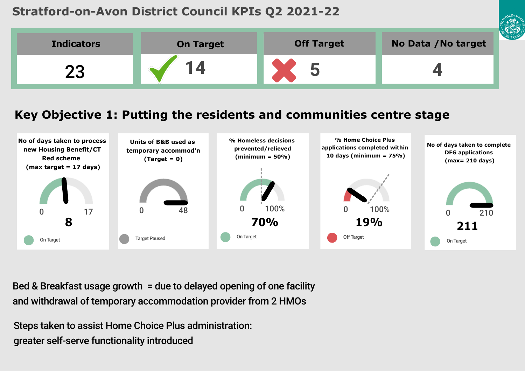# **Stratford-on-Avon District Council KPIs Q2 2021-22**



# **Key Objective 1: Putting the residents and communities centre stage**



Bed & Breakfast usage growth = due to delayed opening of one facility and withdrawal of temporary accommodation provider from 2 HMOs

Steps taken to assist Home Choice Plus administration: greater self-serve functionality introduced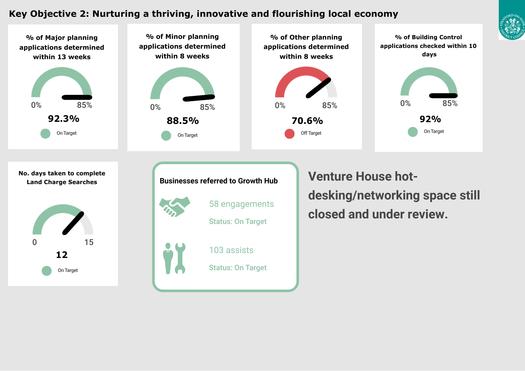## **Key Objective 2: Nurturing a thriving, innovative and flourishing local economy**



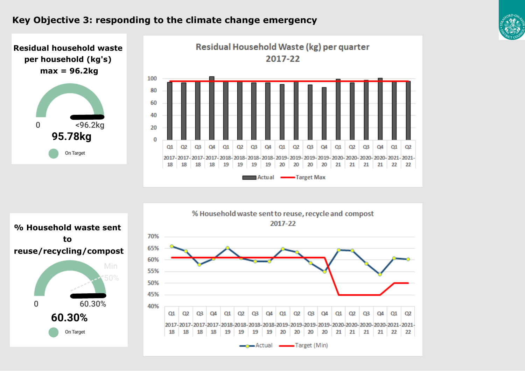### **Key Objective 3: responding to the climate change emergency**





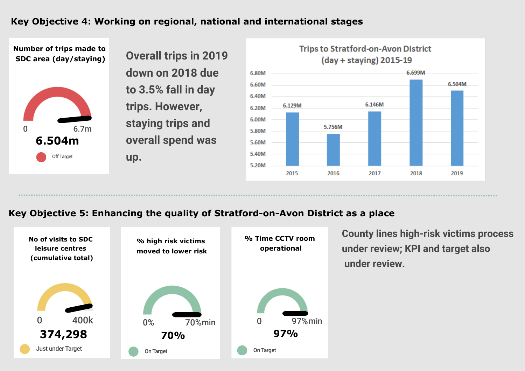# **Key Objective 4: Working on regional, national and international stages**





### **Key Objective 5: Enhancing the quality of Stratford-on-Avon District as a place**



**County lines high-risk victims process under review; KPI and target also under review.**